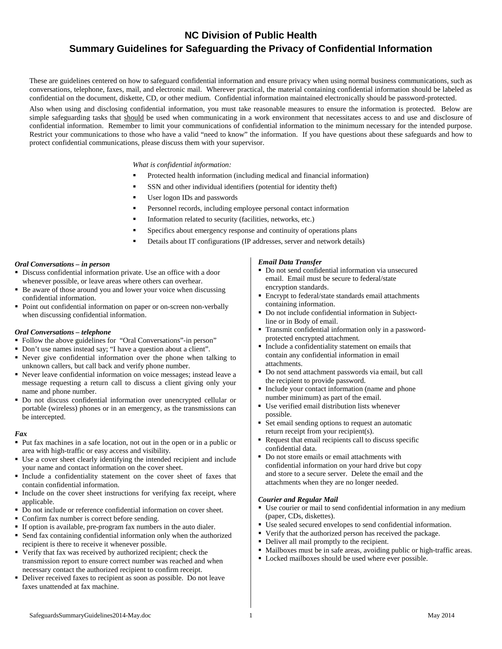# **NC Division of Public Health Summary Guidelines for Safeguarding the Privacy of Confidential Information**

These are guidelines centered on how to safeguard confidential information and ensure privacy when using normal business communications, such as conversations, telephone, faxes, mail, and electronic mail. Wherever practical, the material containing confidential information should be labeled as confidential on the document, diskette, CD, or other medium. Confidential information maintained electronically should be password-protected.

Also when using and disclosing confidential information, you must take reasonable measures to ensure the information is protected. Below are simple safeguarding tasks that should be used when communicating in a work environment that necessitates access to and use and disclosure of confidential information. Remember to limit your communications of confidential information to the minimum necessary for the intended purpose. Restrict your communications to those who have a valid "need to know" the information. If you have questions about these safeguards and how to protect confidential communications, please discuss them with your supervisor.

*What is confidential information:*

- Protected health information (including medical and financial information)
- SSN and other individual identifiers (potential for identity theft)
- User logon IDs and passwords
- Personnel records, including employee personal contact information
- Information related to security (facilities, networks, etc.)
- Specifics about emergency response and continuity of operations plans
- Details about IT configurations (IP addresses, server and network details)

#### *Oral Conversations – in person*

- Discuss confidential information private. Use an office with a door whenever possible, or leave areas where others can overhear.
- Be aware of those around you and lower your voice when discussing confidential information.
- Point out confidential information on paper or on-screen non-verbally when discussing confidential information.

#### *Oral Conversations – telephone*

- Follow the above guidelines for "Oral Conversations"-in person"
- Don't use names instead say; "I have a question about a client".
- Never give confidential information over the phone when talking to unknown callers, but call back and verify phone number.
- Never leave confidential information on voice messages; instead leave a message requesting a return call to discuss a client giving only your name and phone number.
- Do not discuss confidential information over unencrypted cellular or portable (wireless) phones or in an emergency, as the transmissions can be intercepted.

#### *Fax*

- Put fax machines in a safe location, not out in the open or in a public or area with high-traffic or easy access and visibility.
- Use a cover sheet clearly identifying the intended recipient and include your name and contact information on the cover sheet.
- Include a confidentiality statement on the cover sheet of faxes that contain confidential information.
- Include on the cover sheet instructions for verifying fax receipt, where applicable.
- Do not include or reference confidential information on cover sheet.
- Confirm fax number is correct before sending.
- If option is available, pre-program fax numbers in the auto dialer.
- Send fax containing confidential information only when the authorized recipient is there to receive it whenever possible.
- Verify that fax was received by authorized recipient; check the transmission report to ensure correct number was reached and when necessary contact the authorized recipient to confirm receipt.
- Deliver received faxes to recipient as soon as possible. Do not leave faxes unattended at fax machine.

#### *Email Data Transfer*

- Do not send confidential information via unsecured email. Email must be secure to federal/state encryption standards.
- Encrypt to federal/state standards email attachments containing information.
- Do not include confidential information in Subjectline or in Body of email.
- Transmit confidential information only in a passwordprotected encrypted attachment*.*
- Include a confidentiality statement on emails that contain any confidential information in email attachments.
- Do not send attachment passwords via email, but call the recipient to provide password.
- Include your contact information (name and phone number minimum) as part of the email.
- Use verified email distribution lists whenever possible.
- Set email sending options to request an automatic return receipt from your recipient(s).
- Request that email recipients call to discuss specific confidential data.
- Do not store emails or email attachments with confidential information on your hard drive but copy and store to a secure server. Delete the email and the attachments when they are no longer needed.

#### *Courier and Regular Mail*

- Use courier or mail to send confidential information in any medium (paper, CDs, diskettes).
- Use sealed secured envelopes to send confidential information.
- Verify that the authorized person has received the package.
- Deliver all mail promptly to the recipient.
- Mailboxes must be in safe areas, avoiding public or high-traffic areas.
- Locked mailboxes should be used where ever possible.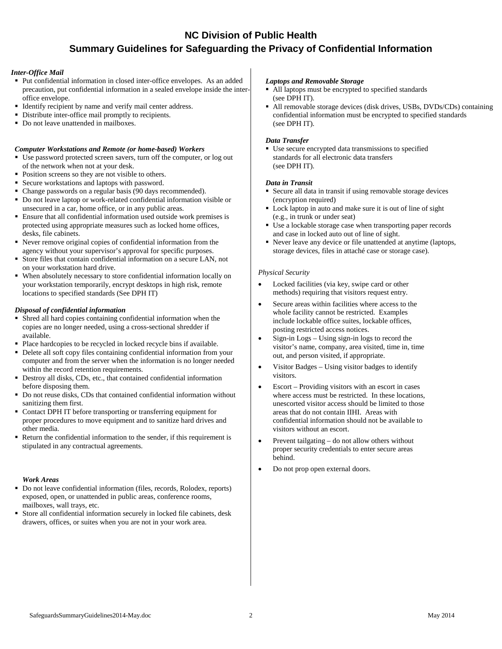## **NC Division of Public Health Summary Guidelines for Safeguarding the Privacy of Confidential Information**

### *Inter-Office Mail*

- Put confidential information in closed inter-office envelopes. As an added precaution, put confidential information in a sealed envelope inside the interoffice envelope.
- Identify recipient by name and verify mail center address.
- Distribute inter-office mail promptly to recipients.
- Do not leave unattended in mailboxes.

## *Computer Workstations and Remote (or home-based) Workers*

- Use password protected screen savers, turn off the computer, or log out of the network when not at your desk.
- Position screens so they are not visible to others.
- Secure workstations and laptops with password.
- Change passwords on a regular basis (90 days recommended).
- Do not leave laptop or work-related confidential information visible or unsecured in a car, home office, or in any public areas.
- Ensure that all confidential information used outside work premises is protected using appropriate measures such as locked home offices, desks, file cabinets.
- Never remove original copies of confidential information from the agency without your supervisor's approval for specific purposes.
- Store files that contain confidential information on a secure LAN, not on your workstation hard drive.
- When absolutely necessary to store confidential information locally on your workstation temporarily, encrypt desktops in high risk, remote locations to specified standards (See DPH IT)

## *Disposal of confidential information*

- Shred all hard copies containing confidential information when the copies are no longer needed, using a cross-sectional shredder if available.
- Place hardcopies to be recycled in locked recycle bins if available.
- Delete all soft copy files containing confidential information from your computer and from the server when the information is no longer needed within the record retention requirements.
- Destroy all disks, CDs, etc., that contained confidential information before disposing them.
- Do not reuse disks, CDs that contained confidential information without sanitizing them first.
- Contact DPH IT before transporting or transferring equipment for proper procedures to move equipment and to sanitize hard drives and other media.
- Return the confidential information to the sender, if this requirement is stipulated in any contractual agreements.

## *Work Areas*

- Do not leave confidential information (files, records, Rolodex, reports) exposed, open, or unattended in public areas, conference rooms, mailboxes, wall trays, etc.
- Store all confidential information securely in locked file cabinets, desk drawers, offices, or suites when you are not in your work area.

#### *Laptops and Removable Storage*

- All laptops must be encrypted to specified standards (see DPH IT).
- All removable storage devices (disk drives, USBs, DVDs/CDs) containing confidential information must be encrypted to specified standards (see DPH IT).

### *Data Transfer*

 Use secure encrypted data transmissions to specified standards for all electronic data transfers (see DPH IT).

## *Data in Transit*

- Secure all data in transit if using removable storage devices (encryption required)
- Lock laptop in auto and make sure it is out of line of sight (e.g., in trunk or under seat)
- Use a lockable storage case when transporting paper records and case in locked auto out of line of sight.
- Never leave any device or file unattended at anytime (laptops, storage devices, files in attaché case or storage case).

## *Physical Security*

- Locked facilities (via key, swipe card or other methods) requiring that visitors request entry.
- Secure areas within facilities where access to the whole facility cannot be restricted. Examples include lockable office suites, lockable offices, posting restricted access notices.
- Sign-in Logs Using sign-in logs to record the visitor's name, company, area visited, time in, time out, and person visited, if appropriate.
- Visitor Badges Using visitor badges to identify visitors.
- Escort Providing visitors with an escort in cases where access must be restricted. In these locations, unescorted visitor access should be limited to those areas that do not contain IIHI. Areas with confidential information should not be available to visitors without an escort.
- Prevent tailgating do not allow others without proper security credentials to enter secure areas behind.
- Do not prop open external doors.